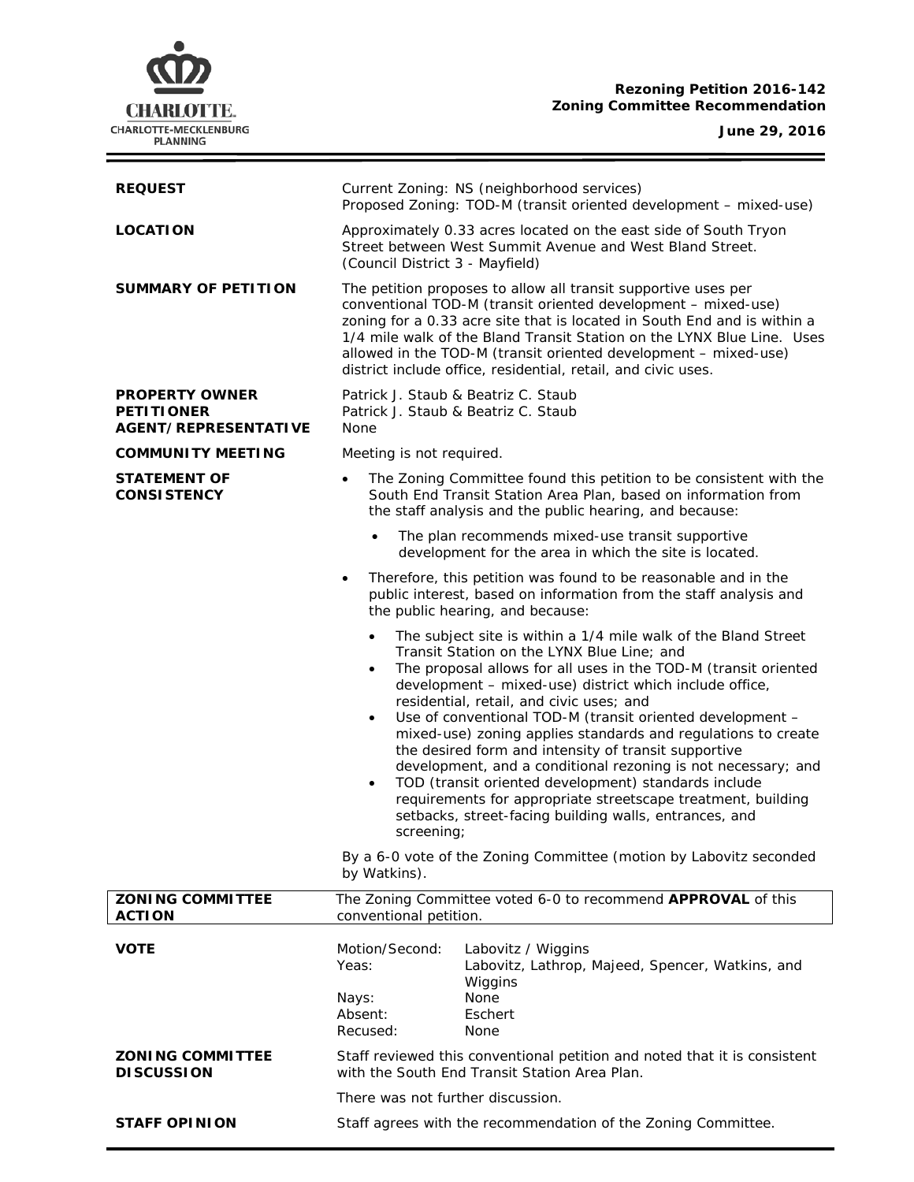# **CHARLOTTE.** CHARLOTTE-MECKLENBURG<br>PLANNING

### **Rezoning Petition 2016-142 Zoning Committee Recommendation**

**June 29, 2016**

 $\equiv$ 

| <b>REQUEST</b>                                                            | Current Zoning: NS (neighborhood services)<br>Proposed Zoning: TOD-M (transit oriented development - mixed-use)                                                                                                                                                                                                                                                                                                                                                                                                                                                                                                                                                                                                                                                                                   |
|---------------------------------------------------------------------------|---------------------------------------------------------------------------------------------------------------------------------------------------------------------------------------------------------------------------------------------------------------------------------------------------------------------------------------------------------------------------------------------------------------------------------------------------------------------------------------------------------------------------------------------------------------------------------------------------------------------------------------------------------------------------------------------------------------------------------------------------------------------------------------------------|
| <b>LOCATION</b>                                                           | Approximately 0.33 acres located on the east side of South Tryon<br>Street between West Summit Avenue and West Bland Street.<br>(Council District 3 - Mayfield)                                                                                                                                                                                                                                                                                                                                                                                                                                                                                                                                                                                                                                   |
| <b>SUMMARY OF PETITION</b>                                                | The petition proposes to allow all transit supportive uses per<br>conventional TOD-M (transit oriented development - mixed-use)<br>zoning for a 0.33 acre site that is located in South End and is within a<br>1/4 mile walk of the Bland Transit Station on the LYNX Blue Line. Uses<br>allowed in the TOD-M (transit oriented development - mixed-use)<br>district include office, residential, retail, and civic uses.                                                                                                                                                                                                                                                                                                                                                                         |
| <b>PROPERTY OWNER</b><br><b>PETITIONER</b><br><b>AGENT/REPRESENTATIVE</b> | Patrick J. Staub & Beatriz C. Staub<br>Patrick J. Staub & Beatriz C. Staub<br>None                                                                                                                                                                                                                                                                                                                                                                                                                                                                                                                                                                                                                                                                                                                |
| <b>COMMUNITY MEETING</b>                                                  | Meeting is not required.                                                                                                                                                                                                                                                                                                                                                                                                                                                                                                                                                                                                                                                                                                                                                                          |
| <b>STATEMENT OF</b><br><b>CONSISTENCY</b>                                 | The Zoning Committee found this petition to be consistent with the<br>$\bullet$<br>South End Transit Station Area Plan, based on information from<br>the staff analysis and the public hearing, and because:                                                                                                                                                                                                                                                                                                                                                                                                                                                                                                                                                                                      |
|                                                                           | The plan recommends mixed-use transit supportive<br>$\bullet$<br>development for the area in which the site is located.                                                                                                                                                                                                                                                                                                                                                                                                                                                                                                                                                                                                                                                                           |
|                                                                           | Therefore, this petition was found to be reasonable and in the<br>$\bullet$<br>public interest, based on information from the staff analysis and<br>the public hearing, and because:                                                                                                                                                                                                                                                                                                                                                                                                                                                                                                                                                                                                              |
|                                                                           | The subject site is within a 1/4 mile walk of the Bland Street<br>$\bullet$<br>Transit Station on the LYNX Blue Line; and<br>The proposal allows for all uses in the TOD-M (transit oriented<br>$\bullet$<br>development - mixed-use) district which include office,<br>residential, retail, and civic uses; and<br>Use of conventional TOD-M (transit oriented development -<br>$\bullet$<br>mixed-use) zoning applies standards and regulations to create<br>the desired form and intensity of transit supportive<br>development, and a conditional rezoning is not necessary; and<br>TOD (transit oriented development) standards include<br>$\bullet$<br>requirements for appropriate streetscape treatment, building<br>setbacks, street-facing building walls, entrances, and<br>screening; |
|                                                                           | By a 6-0 vote of the Zoning Committee (motion by Labovitz seconded<br>by Watkins).                                                                                                                                                                                                                                                                                                                                                                                                                                                                                                                                                                                                                                                                                                                |
| <b>ZONING COMMITTEE</b><br><b>ACTION</b>                                  | The Zoning Committee voted 6-0 to recommend APPROVAL of this<br>conventional petition.                                                                                                                                                                                                                                                                                                                                                                                                                                                                                                                                                                                                                                                                                                            |
| <b>VOTE</b>                                                               | Motion/Second:<br>Labovitz / Wiggins<br>Yeas:<br>Labovitz, Lathrop, Majeed, Spencer, Watkins, and<br>Wiggins<br>Nays:<br>None<br>Absent:<br>Eschert                                                                                                                                                                                                                                                                                                                                                                                                                                                                                                                                                                                                                                               |
| <b>ZONING COMMITTEE</b><br><b>DISCUSSION</b>                              | Recused:<br>None<br>Staff reviewed this conventional petition and noted that it is consistent<br>with the South End Transit Station Area Plan.                                                                                                                                                                                                                                                                                                                                                                                                                                                                                                                                                                                                                                                    |
|                                                                           | There was not further discussion.                                                                                                                                                                                                                                                                                                                                                                                                                                                                                                                                                                                                                                                                                                                                                                 |
| <b>STAFF OPINION</b>                                                      | Staff agrees with the recommendation of the Zoning Committee.                                                                                                                                                                                                                                                                                                                                                                                                                                                                                                                                                                                                                                                                                                                                     |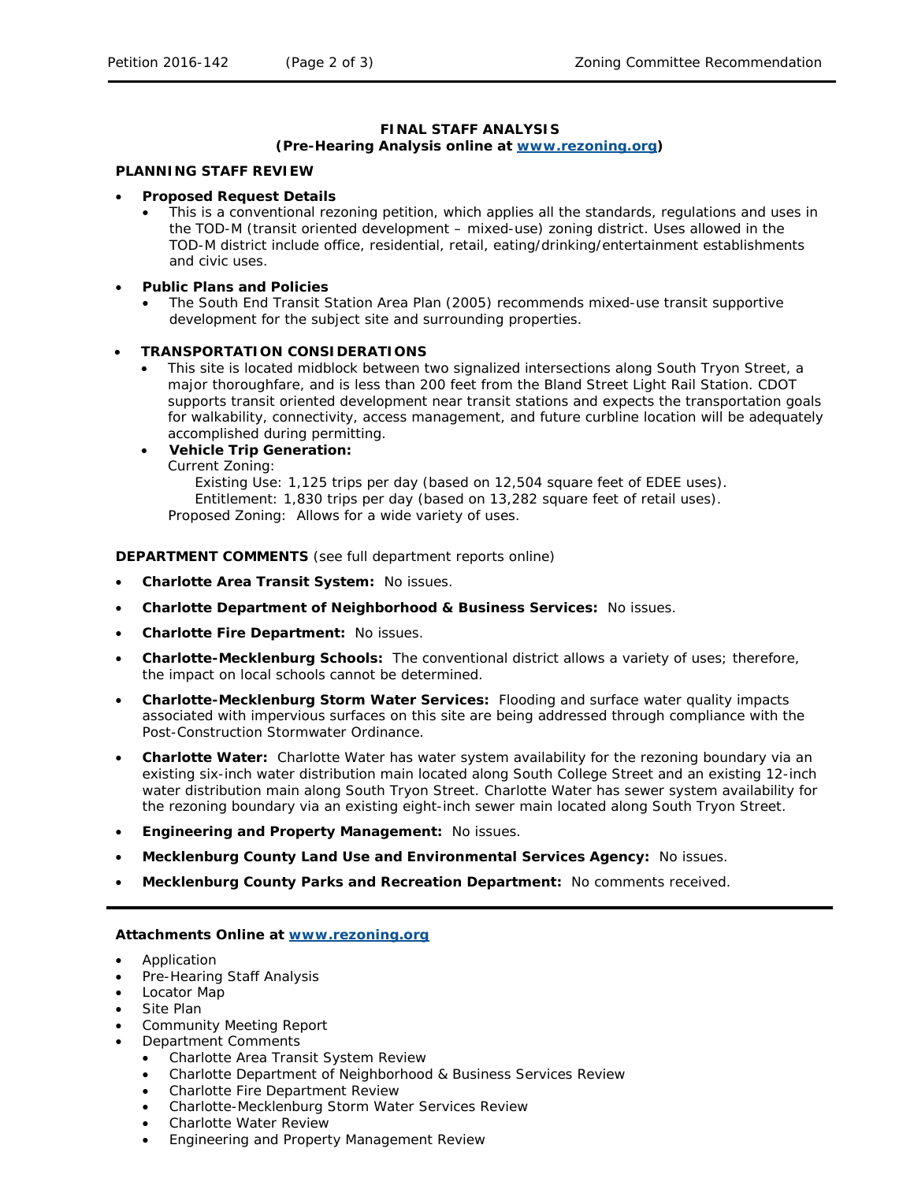#### **FINAL STAFF ANALYSIS**

## **(Pre-Hearing Analysis online at [www.rezoning.org\)](http://www.rezoning.org/)**

#### **PLANNING STAFF REVIEW**

#### • **Proposed Request Details**

- This is a conventional rezoning petition, which applies all the standards, regulations and uses in the TOD-M (transit oriented development – mixed-use) zoning district. Uses allowed in the TOD-M district include office, residential, retail, eating/drinking/entertainment establishments and civic uses.
- **Public Plans and Policies**
	- The *South End Transit Station Area Plan* (2005) recommends mixed-use transit supportive development for the subject site and surrounding properties.

#### • **TRANSPORTATION CONSIDERATIONS**

- This site is located midblock between two signalized intersections along South Tryon Street, a major thoroughfare, and is less than 200 feet from the Bland Street Light Rail Station. CDOT supports transit oriented development near transit stations and expects the transportation goals for walkability, connectivity, access management, and future curbline location will be adequately accomplished during permitting.
- **Vehicle Trip Generation:**

Current Zoning:

Existing Use: 1,125 trips per day (based on 12,504 square feet of EDEE uses). Entitlement: 1,830 trips per day (based on 13,282 square feet of retail uses). Proposed Zoning: Allows for a wide variety of uses.

**DEPARTMENT COMMENTS** (see full department reports online)

- **Charlotte Area Transit System:** No issues.
- **Charlotte Department of Neighborhood & Business Services:** No issues.
- **Charlotte Fire Department:** No issues.
- **Charlotte-Mecklenburg Schools:** The conventional district allows a variety of uses; therefore, the impact on local schools cannot be determined.
- **Charlotte-Mecklenburg Storm Water Services:** Flooding and surface water quality impacts associated with impervious surfaces on this site are being addressed through compliance with the Post-Construction Stormwater Ordinance.
- **Charlotte Water:** Charlotte Water has water system availability for the rezoning boundary via an existing six-inch water distribution main located along South College Street and an existing 12-inch water distribution main along South Tryon Street. Charlotte Water has sewer system availability for the rezoning boundary via an existing eight-inch sewer main located along South Tryon Street.
- **Engineering and Property Management:** No issues.
- **Mecklenburg County Land Use and Environmental Services Agency:** No issues.
- **Mecklenburg County Parks and Recreation Department:** No comments received.

#### **Attachments Online at [www.rezoning.org](http://www.rezoning.org/)**

- Application
- Pre-Hearing Staff Analysis
- Locator Map
- Site Plan
- Community Meeting Report
- Department Comments
	- Charlotte Area Transit System Review
	- Charlotte Department of Neighborhood & Business Services Review
	- Charlotte Fire Department Review
	- Charlotte-Mecklenburg Storm Water Services Review
	- Charlotte Water Review
	- Engineering and Property Management Review